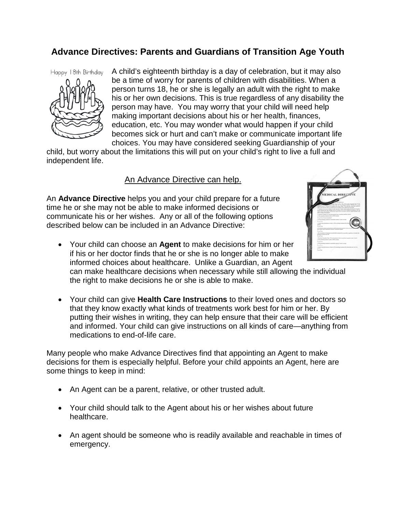## **Advance Directives: Parents and Guardians of Transition Age Youth**

Happy 18th Birthday



A child's eighteenth birthday is a day of celebration, but it may also be a time of worry for parents of children with disabilities. When a person turns 18, he or she is legally an adult with the right to make his or her own decisions. This is true regardless of any disability the person may have. You may worry that your child will need help making important decisions about his or her health, finances, education, etc. You may wonder what would happen if your child becomes sick or hurt and can't make or communicate important life choices. You may have considered seeking Guardianship of your

child, but worry about the limitations this will put on your child's right to live a full and independent life.

## An Advance Directive can help.

An **Advance Directive** helps you and your child prepare for a future time he or she may not be able to make informed decisions or communicate his or her wishes. Any or all of the following options described below can be included in an Advance Directive:



• Your child can choose an **Agent** to make decisions for him or her if his or her doctor finds that he or she is no longer able to make informed choices about healthcare. Unlike a Guardian, an Agent can make healthcare decisions when necessary while still allowing the individual

the right to make decisions he or she is able to make.

• Your child can give **Health Care Instructions** to their loved ones and doctors so that they know exactly what kinds of treatments work best for him or her. By putting their wishes in writing, they can help ensure that their care will be efficient and informed. Your child can give instructions on all kinds of care—anything from medications to end-of-life care.

Many people who make Advance Directives find that appointing an Agent to make decisions for them is especially helpful. Before your child appoints an Agent, here are some things to keep in mind:

- An Agent can be a parent, relative, or other trusted adult.
- Your child should talk to the Agent about his or her wishes about future healthcare.
- An agent should be someone who is readily available and reachable in times of emergency.